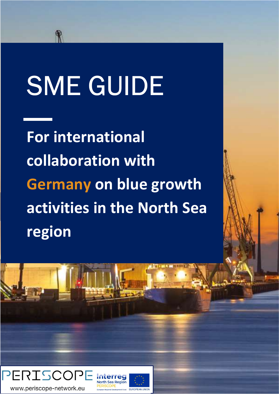# SME GUIDE

For international collaboration with Germany on blue growth activities in the North Sea region

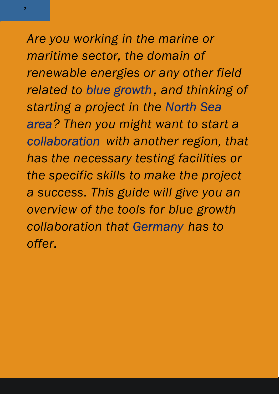Are you working in the marine or maritime sector, the domain of renewable energies or any other field related to blue growth , and thinking of starting a project in the North Sea area? Then you might want to start a collaboration with another region, that has the necessary testing facilities or the specific skills to make the project a success. This guide will give you an overview of the tools for blue growth collaboration that Germany has to offer.

2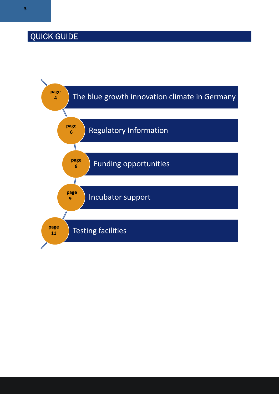### QUICK GUIDE

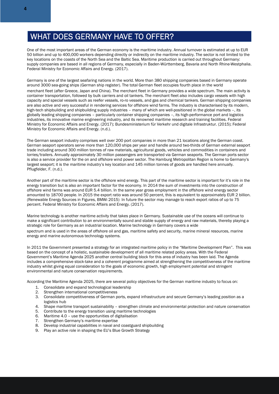### WHAT DOES GERMANY HAVE TO OFFER?

One of the most important areas of the German economy is the maritime industry. Annual turnover is estimated at up to EUR 50 billion and up to 400,000 workers depending directly or indirectly on the maritime industry. The sector is not limited to the key locations on the coasts of the North Sea and the Baltic Sea. Maritime production is carried out throughout Germany: supply companies are based in all regions of Germany, especially in Baden-Württemberg, Bavaria and North Rhine-Westphalia. Federal Ministry for Economic Affairs and Energy. (2017).

Germany is one of the largest seafaring nations in the world. More than 380 shipping companies based in Germany operate around 3000 sea-going ships (German ship register). The total German fleet occupies fourth place in the world merchant fleet (after Greece, Japan and China). The merchant fleet in Germany provides a wide spectrum. The main activity is container transportation, followed by bulk carriers and oil tankers. The merchant fleet also includes cargo vessels with high capacity and special vessels such as reefer vessels, ro-ro vessels, and gas and chemical tankers. German shipping companies are also active and very successful in rendering services for offshore wind farms. The industry is characterised by its modern, high-tech shipbuilding and shipbuilding supply industries – many of which are well-positioned in the global markets –, its globally leading shipping companies – particularly container shipping companies –, its high-performance port and logistics industries, its innovative marine engineering industry, and its renowned maritime research and training facilities. Federal Ministry for Economic Affairs and Energy. (2017); Bundesministerium für Verkehr und digitale Infrastruktur. (2015); Federal Ministry for Economic Affairs and Energy. (n.d.).

The German seaport industry comprises well over 200 port companies in more than 21 locations along the German coast. German seaport operators serve more than 120,000 ships per year and handle around two-thirds of German external seaport trade including around 300 million tonnes of raw materials, agricultural goods, vehicles and commodities in containers and lorries/trailers. Annually approximately 30 million passengers are transported via German seaports. The German ports sector is also a service provider for the on and offshore wind power sector. The Hamburg Metropolitan Region is home to Germany's largest seaport; it is the maritime industry's key location and 145 million tonnes of goods are handled here annually. Pflugfelder, F. (n.d.).

Another part of the maritime sector is the offshore wind energy. This part of the maritime sector is important for it's role in the energy transition but is also an important factor for the economy. In 2014 the sum of investments into the construction of offshore wind farms was around EUR 5.4 billion. In the same year gross employment in the offshore wind energy sector amounted to 18700 people. In 2015 the export ratio was around 50 percent, this is equivalent to approximately EUR 2 billion. (Renewable Energy Sources in Figures, BMWi 2015) In future the sector may manage to reach export ratios of up to 75 percent. Federal Ministry for Economic Affairs and Energy. (2017).

Marine technology is another maritime activity that takes place in Germany. Sustainable use of the oceans will continue to make a significant contribution to an environmentally sound and stable supply of energy and raw materials, thereby playing a strategic role for Germany as an industrial location. Marine technology in Germany covers a wide spectrum and is used in the areas of offshore oil and gas, maritime safety and security, marine mineral resources, marine energy and marine autonomous technology systems.

In 2011 the Government presented a strategy for an integrated maritime policy in the "Maritime Development Plan". This was based on the concept of a holistic, sustainable development of all maritime related policy areas. With the Federal Government's Maritime Agenda 2025 another central building block for this area of industry has been laid. The Agenda includes a comprehensive stock-take and a coherent programme aimed at strengthening the competitiveness of the maritime industry whilst giving equal consideration to the goals of economic growth, high employment potential and stringent environmental and nature conservation requirements.

According the Maritime Agenda 2025, there are several policy objectives for the German maritime industry to focus on:

- 1. Consolidate and expand technological leadership
- 2. Strengthen international competitiveness<br>3. Consolidate competitiveness of German p
- 3. Consolidate competitiveness of German ports, expand infrastructure and secure Germany's leading position as a logistics hub
- 4. Shape maritime transport sustainability strengthen climate and environmental protection and nature conservation
- 5. Contribute to the energy transition using maritime technologies
- 6. Maritime 4.0 use the opportunities of digitalisation
- 7. Strengthen Germany's maritime expertise
- 8. Develop industrial capabilities in naval and coastguard shipbuilding
- 9. Play an active role in shaping the EU's Blue Growth Strategy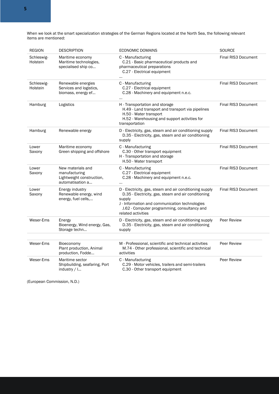When we look at the smart specialization strategies of the German Regions located at the North Sea, the following relevant items are mentioned:

| <b>REGION</b>          | <b>DESCRIPTION</b>                                                                  | <b>ECONOMIC DOMAINS</b>                                                                                                                                                                                                                          | <b>SOURCE</b>              |
|------------------------|-------------------------------------------------------------------------------------|--------------------------------------------------------------------------------------------------------------------------------------------------------------------------------------------------------------------------------------------------|----------------------------|
| Schleswig-<br>Holstein | Maritime economy<br>Maritime technologies,<br>specialised ship co                   | C - Manufacturing<br>C.21 - Basic pharmaceutical products and<br>pharmaceutical preparations<br>C.27 - Electrical equipment<br>                                                                                                                  | <b>Final RIS3 Document</b> |
| Schleswig-<br>Holstein | Renewable energies<br>Services and logistics,<br>biomass, energy ef                 | C - Manufacturing<br>C.27 - Electrical equipment<br>C.28 - Machinery and equipment n.e.c.<br>                                                                                                                                                    | <b>Final RIS3 Document</b> |
| Hamburg                | Logistics                                                                           | H - Transportation and storage<br>H.49 - Land transport and transport via pipelines<br>H.50 - Water transport<br>H.52 - Warehousing and support activities for<br>transportation                                                                 | Final RIS3 Document        |
| Hamburg                | Renewable energy                                                                    | D - Electricity, gas, steam and air conditioning supply<br>D.35 - Electricity, gas, steam and air conditioning<br>supply                                                                                                                         | <b>Final RIS3 Document</b> |
| Lower<br>Saxony        | Maritime economy<br>Green shipping and offshore                                     | C - Manufacturing<br>C.30 - Other transport equipment<br>H - Transportation and storage<br>H.50 - Water transport                                                                                                                                | <b>Final RIS3 Document</b> |
| Lower<br>Saxony        | New materials and<br>manufacturing<br>Lightweight construction,<br>automatisation a | C - Manufacturing<br>C.27 - Electrical equipment<br>C.28 - Machinery and equipment n.e.c.<br>                                                                                                                                                    | Final RIS3 Document        |
| Lower<br>Saxony        | Energy industry<br>Renewable energy, wind<br>energy, fuel cells,                    | D - Electricity, gas, steam and air conditioning supply<br>D.35 - Electricity, gas, steam and air conditioning<br>supply<br>J - Information and communication technologies<br>J.62 - Computer programming, consultancy and<br>related activities | Final RIS3 Document        |
| Weser-Ems              | Energy<br>Bioenergy, Wind energy, Gas,<br>Storage techn                             | D - Electricity, gas, steam and air conditioning supply<br>D.35 - Electricity, gas, steam and air conditioning<br>supply                                                                                                                         | Peer Review                |
| Weser-Ems              | Bioeconomy<br>Plant production, Animal<br>production, Fodde                         | M - Professional, scientific and technical activities<br>M.74 - Other professional, scientific and technical<br>activities                                                                                                                       | Peer Review                |
| Weser-Ems              | Maritime sector<br>Shipbuilding, seafaring, Port<br>industry $/$ $\ldots$           | C - Manufacturing<br>C.29 - Motor vehicles, trailers and semi-trailers<br>C.30 - Other transport equipment                                                                                                                                       | Peer Review                |

(European Commission, N.D.)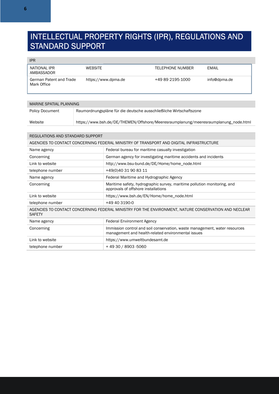### INTELLECTUAL PROPERTY RIGHTS (IPR), REGULATIONS AND STANDARD SUPPORT

IPR

| NATIONAL IPR<br>AMBASSADOR             | <b>WEBSITE</b>      | TELEPHONE NUMBER | EMAIL        |
|----------------------------------------|---------------------|------------------|--------------|
| German Patent and Trade<br>Mark Office | https://www.dpma.de | +49 89 2195-1000 | info@dpma.de |

| MARINE SPATIAL PLANNING |                                                                                     |  |
|-------------------------|-------------------------------------------------------------------------------------|--|
| <b>Policy Document</b>  | Raumordnungspläne für die deutsche ausschließliche Wirtschaftszone                  |  |
| Website                 | https://www.bsh.de/DE/THEMEN/Offshore/Meeresraumplanung/meeresraumplanung_node.html |  |

| REGULATIONS AND STANDARD SUPPORT                                                                                      |                                                                                                                                  |  |
|-----------------------------------------------------------------------------------------------------------------------|----------------------------------------------------------------------------------------------------------------------------------|--|
| AGENCIES TO CONTACT CONCERNING FEDERAL MINISTRY OF TRANSPORT AND DIGITAL INFRASTRUCTURE                               |                                                                                                                                  |  |
| Name agency                                                                                                           | Federal bureau for maritime casualty investigation                                                                               |  |
| Concerning                                                                                                            | German agency for investigating maritime accidents and incidents                                                                 |  |
| Link to website                                                                                                       | http://www.bsu-bund.de/DE/Home/home_node.html                                                                                    |  |
| telephone number                                                                                                      | +49(0)40 31 90 83 11                                                                                                             |  |
| Name agency                                                                                                           | Federal Maritime and Hydrographic Agency                                                                                         |  |
| Concerning                                                                                                            | Maritime safety, hydrographic survey, maritime pollution monitoring, and<br>approvals of offshore installations                  |  |
| Link to website                                                                                                       | https://www.bsh.de/EN/Home/home_node.html                                                                                        |  |
| telephone number                                                                                                      | +49 40 3190-0                                                                                                                    |  |
| AGENCIES TO CONTACT CONCERNING FEDERAL MINISTRY FOR THE ENVIRONMENT, NATURE CONSERVATION AND NECLEAR<br><b>SAFETY</b> |                                                                                                                                  |  |
| Name agency                                                                                                           | <b>Federal Environment Agency</b>                                                                                                |  |
| Concerning                                                                                                            | Immission control and soil conservation, waste management, water resources<br>management and health-related environmental issues |  |
| Link to website                                                                                                       | https://www.umweltbundesamt.de                                                                                                   |  |
| telephone number                                                                                                      | +49 30 / 8903 -5060                                                                                                              |  |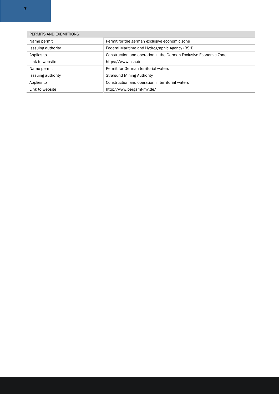| PERMITS AND EXEMPTIONS    |                                                                  |  |
|---------------------------|------------------------------------------------------------------|--|
| Name permit               | Permit for the german exclusive economic zone                    |  |
| <b>Isssuing authority</b> | Federal Maritime and Hydrographic Agency (BSH)                   |  |
| Applies to                | Construction and operation in the German Exclusive Economic Zone |  |
| Link to website           | https://www.bsh.de                                               |  |
| Name permit               | Permit for German territorial waters                             |  |
| Isssuing authority        | <b>Stralsund Mining Authority</b>                                |  |
| Applies to                | Construction and operation in territorial waters                 |  |
| Link to website           | http://www.bergamt-mv.de/                                        |  |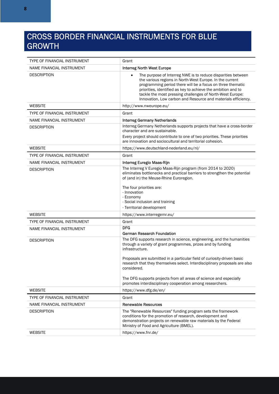### CROSS BORDER FINANCIAL INSTRUMENTS FOR BLUE GROWTH

| TYPE OF FINANCIAL INSTRUMENT | Grant                                                                                                                                                                                                                                                                                                                                                                                             |
|------------------------------|---------------------------------------------------------------------------------------------------------------------------------------------------------------------------------------------------------------------------------------------------------------------------------------------------------------------------------------------------------------------------------------------------|
| NAME FINANCIAL INSTRUMENT    | Interreg North West Europe                                                                                                                                                                                                                                                                                                                                                                        |
| <b>DESCRIPTION</b>           | The purpose of Interreg NWE is to reduce disparities between<br>$\bullet$<br>the various regions in North-West Europe. In the current<br>programming period there will be a focus on three thematic<br>priorities, identified as key to achieve the ambition and to<br>tackle the most pressing challenges of North-West Europe:<br>Innovation, Low carbon and Resource and materials efficiency. |
| <b>WEBSITE</b>               | http://www.nweurope.eu/                                                                                                                                                                                                                                                                                                                                                                           |
| TYPE OF FINANCIAL INSTRUMENT | Grant                                                                                                                                                                                                                                                                                                                                                                                             |
| NAME FINANCIAL INSTRUMENT    | <b>Interreg Germany Netherlands</b>                                                                                                                                                                                                                                                                                                                                                               |
| <b>DESCRIPTION</b>           | Interreg Germany Netherlands supports projects that have a cross-border<br>character and are sustainable.                                                                                                                                                                                                                                                                                         |
|                              | Every project should contribute to one of two priorities. These priorities<br>are innovation and sociocultural and territorial cohesion.                                                                                                                                                                                                                                                          |
| <b>WEBSITE</b>               | https://www.deutschland-nederland.eu/nl/                                                                                                                                                                                                                                                                                                                                                          |
| TYPE OF FINANCIAL INSTRUMENT | Grant                                                                                                                                                                                                                                                                                                                                                                                             |
| NAME FINANCIAL INSTRUMENT    | Interreg Euregio Maas-Rijn                                                                                                                                                                                                                                                                                                                                                                        |
| DESCRIPTION                  | The Interreg V Euregio Maas-Rijn program (from 2014 to 2020)<br>eliminates bottlenecks and practical barriers to strengthen the potential<br>of (and in) the Meuse-Rhine Euroregion.<br>The four priorities are:<br>- Innovation<br>- Economy<br>- Social inclusion and training<br>- Territorial development                                                                                     |
| <b>WEBSITE</b>               | https://www.interregemr.eu/                                                                                                                                                                                                                                                                                                                                                                       |
| TYPE OF FINANCIAL INSTRUMENT | Grant                                                                                                                                                                                                                                                                                                                                                                                             |
| NAME FINANCIAL INSTRUMENT    | <b>DFG</b>                                                                                                                                                                                                                                                                                                                                                                                        |
|                              | German Research Foundation                                                                                                                                                                                                                                                                                                                                                                        |
| <b>DESCRIPTION</b>           | The DFG supports research in science, engineering, and the humanities<br>through a variety of grant programmes, prizes and by funding<br>infrastructure.<br>Proposals are submitted in a particular field of curiosity-driven basic<br>research that they themselves select. Interdisciplinary proposals are also                                                                                 |
|                              | considered.<br>The DFG supports projects from all areas of science and especially<br>promotes interdisciplinary cooperation among researchers.                                                                                                                                                                                                                                                    |
| <b>WEBSITE</b>               | https://www.dfg.de/en/                                                                                                                                                                                                                                                                                                                                                                            |
| TYPE OF FINANCIAL INSTRUMENT | Grant                                                                                                                                                                                                                                                                                                                                                                                             |
| NAME FINANCIAL INSTRUMENT    | <b>Renewable Resources</b>                                                                                                                                                                                                                                                                                                                                                                        |
| <b>DESCRIPTION</b>           | The "Renewable Resources" funding program sets the framework<br>conditions for the promotion of research, development and<br>demonstration projects on renewable raw materials by the Federal<br>Ministry of Food and Agriculture (BMEL).                                                                                                                                                         |
| <b>WEBSITE</b>               | https://www.fnr.de/                                                                                                                                                                                                                                                                                                                                                                               |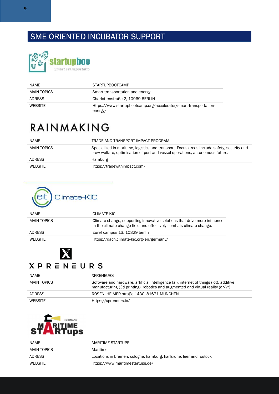### SME ORIENTED INCUBATOR SUPPORT



| NAMF           | <b>STARTUPBOOTCAMP</b>                                                       |
|----------------|------------------------------------------------------------------------------|
| MAIN TOPICS    | Smart transportation and energy                                              |
| <b>ADRESS</b>  | Charlottenstraße 2, 10969 BERLIN                                             |
| <b>WEBSITE</b> | Https://www.startupbootcamp.org/accelerator/smart-transportation-<br>energy/ |

## RAINMAKING

| <b>NAME</b>   | TRADE AND TRANSPORT IMPACT PROGRAM                                                                                                                                         |
|---------------|----------------------------------------------------------------------------------------------------------------------------------------------------------------------------|
| MAIN TOPICS   | Specialized in maritime, logistics and transport. Focus areas include safety, security and<br>crew welfare, optimisation of port and vessel operations, autonomous future. |
| <b>ADRESS</b> | Hamburg                                                                                                                                                                    |
| WFRSITF       | Https://tradewithimpact.com/                                                                                                                                               |



| <b>NAMF</b>    | CLIMATE-KIC                                                                                                                                      |
|----------------|--------------------------------------------------------------------------------------------------------------------------------------------------|
| MAIN TOPICS    | Climate change, supporting innovative solutions that drive more influence<br>in the climate change field and effectively combats climate change. |
| <b>ADRESS</b>  | Euref campus 13, 10829 berlin                                                                                                                    |
| <b>WEBSITE</b> | Https://dach.climate-kic.org/en/germany/                                                                                                         |



### **XPRENEURS**

| <b>NAME</b>   | <b>XPRENEURS</b>                                                                                                                                                           |
|---------------|----------------------------------------------------------------------------------------------------------------------------------------------------------------------------|
| MAIN TOPICS   | Software and hardware, artificial intelligence (ai), internet of things (iot), additive<br>manufacturing (3d printing), robotics and augmented and virtual reality (ar/vr) |
| <b>ADRESS</b> | ROSENLHEIMER straße 143C, 81671 MÜNCHEN                                                                                                                                    |
| WEBSITE       | Https://xpreneurs.io/                                                                                                                                                      |



| <b>NAME</b>    | MARITIME STARTUPS                                                  |
|----------------|--------------------------------------------------------------------|
| MAIN TOPICS    | Maritime                                                           |
| <b>ADRESS</b>  | Locations in bremen, cologne, hamburg, karlsruhe, leer and rostock |
| <b>WEBSITE</b> | Https://www.maritimestartups.de/                                   |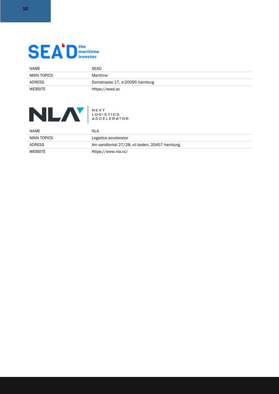

| NAME          | <b>SEAD</b>                    |
|---------------|--------------------------------|
| MAIN TOPICS   | Maritime                       |
| <b>ADRESS</b> | Domstrasse 17, d-20095 hamburg |
| WEBSITE       | Https://sead.ac                |



| NEXT                      |
|---------------------------|
| LOGISTICS                 |
| <i><b>ACCELERATOR</b></i> |

| NAME           | NLA                                           |
|----------------|-----------------------------------------------|
| MAIN TOPICS    | Logistics accelerator                         |
| <b>ADRESS</b>  | Am sandtorkai 27/28, vii boden, 20457 hamburg |
| <b>WEBSITE</b> | Https://www.nla.vc/                           |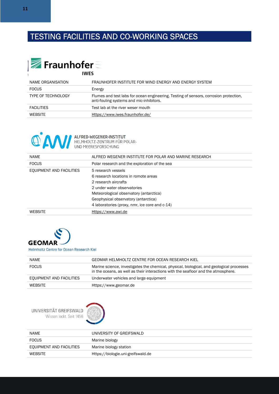### TESTING FACILITIES AND CO-WORKING SPACES



| NAME ORGANISATION         | FRAUNHOFER INSTITUTE FOR WIND ENERGY AND ENERGY SYSTEM                                                                            |
|---------------------------|-----------------------------------------------------------------------------------------------------------------------------------|
| <b>FOCUS</b>              | Energy                                                                                                                            |
| <b>TYPE OF TECHNOLOGY</b> | Flumes and test labs for ocean engineering. Testing of sensors, corrosion protection,<br>anti-fouling systems and mic-inhibitors. |
| <b>FACILITIES</b>         | Test lab at the river weser mouth                                                                                                 |
| <b>WEBSITE</b>            | Https://www.iwes.fraunhofer.de/                                                                                                   |



| <b>NAME</b>              | ALFRED WEGENER INSTITUTE FOR POLAR AND MARINE RESEARCH |
|--------------------------|--------------------------------------------------------|
| <b>FOCUS</b>             | Polar research and the exploration of the sea          |
| EQUIPMENT AND FACILITIES | 5 research vessels                                     |
|                          | 6 research locations in romote areas                   |
|                          | 2 research aircrafts                                   |
|                          | 2 under water observatories                            |
|                          | Meteorological observatory (antarctica)                |
|                          | Geophysical observatory (antarctica)                   |
|                          | 4 laboratories (proxy, nmr, ice core and c-14)         |
| <b>WFRSITF</b>           | Https://www.awi.de                                     |



### Helmholtz Centre for Ocean Research Kiel

| NAME                     | GEOMAR HELMHOLTZ CENTRE FOR OCEAN RESEARCH KIEL                                                                                                                                 |
|--------------------------|---------------------------------------------------------------------------------------------------------------------------------------------------------------------------------|
| <b>FOCUS</b>             | Marine science, investigates the chemical, physical, biological, and geological processes<br>in the oceans, as well as their interactions with the seafloor and the atmosphere. |
| EQUIPMENT AND FACILITIES | Underwater vehicles and large equipment                                                                                                                                         |
| <b>WEBSITE</b>           | Https://www.geomar.de                                                                                                                                                           |



| NAME                     | UNIVERSITY OF GREIFSWALD           |
|--------------------------|------------------------------------|
| <b>FOCUS</b>             | Marine biology                     |
| EQUIPMENT AND FACILITIES | Marine biology station             |
| <b>WEBSITE</b>           | Https://biologie.uni-greifswald.de |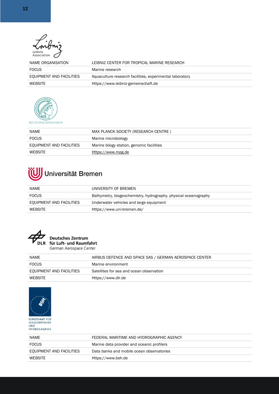| Leibniz<br>Association   |                                                          |
|--------------------------|----------------------------------------------------------|
| NAME ORGANISATION        | LEIBNIZ CENTER FOR TROPICAL MARINE RESEARCH              |
| <b>FOCUS</b>             | Marine research                                          |
| EQUIPMENT AND FACILITIES | Aquaculture research facilities, experimental laboratory |
| <b>WEBSITE</b>           | Https://www.leibniz-gemeinschaft.de                      |



| <b>NAME</b>              | MAX PLANCK SOCIETY (RESEARCH CENTRE)      |
|--------------------------|-------------------------------------------|
| <b>FOCUS</b>             | Marine microbiology                       |
| EQUIPMENT AND FACILITIES | Marine bilogy station, genomic facilities |
| <b>WEBSITE</b>           | Https://www.mpg.de                        |

# Universität Bremen

| <b>NAME</b>              | UNIVERSITY OF BREMEN                                            |
|--------------------------|-----------------------------------------------------------------|
| <b>FOCUS</b>             | Bathymetry, biogeochemistry, hydrography, physical oceanography |
| EQUIPMENT AND FACILITIES | Underwater vehicles and large equipment                         |
| <b>WFRSITE</b>           | Https://www.uni-bremen.de/                                      |



# Deutsches Zentrum<br>DLR für Luft- und Raumfahrt

German Aerospace Center

| NAME                     | AIRBUS DEFENCE AND SPACE SAS / GERMAN AEROSPACE CENTER |
|--------------------------|--------------------------------------------------------|
| <b>FOCUS</b>             | Marine environment                                     |
| EQUIPMENT AND FACILITIES | Satellites for sea and ocean observation               |
| <b>WEBSITE</b>           | Https://www.dlr.de                                     |
|                          |                                                        |



**BUNDESAMT FÜR<br>SEESCHIFFFAHRT<br>UND<br>HYDROGRAPHIE** 

| <b>NAME</b>              | FEDERAL MARITIME AND HYDROGRAPHIC AGENCY   |
|--------------------------|--------------------------------------------|
| <b>FOCUS</b>             | Marine data provider and oceanic profilers |
| EQUIPMENT AND FACILITIES | Data banks and mobile ocean observatories  |
| <b>WEBSITE</b>           | Https://www.bsh.de                         |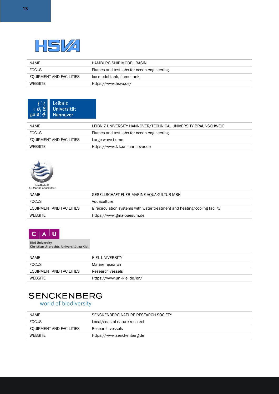

| NAME                     | HAMBURG SHIP MODEL BASIN                   |
|--------------------------|--------------------------------------------|
| <b>FOCUS</b>             | Flumes and test labs for ocean engineering |
| EQUIPMENT AND FACILITIES | Ice model tank, flume tank                 |
| <b>WEBSITE</b>           | Https://www.hsva.de/                       |



| <b>NAME</b>              | LEIBNIZ UNIVERSITY HANNOVER/TECHNICAL UNIVERSITY BRAUNSCHWEIG |
|--------------------------|---------------------------------------------------------------|
| <b>FOCUS</b>             | Flumes and test labs for ocean engineering                    |
| EQUIPMENT AND FACILITIES | Large wave flume                                              |
| <b>WEBSITE</b>           | Https://www.fzk.uni-hannover.de                               |



### Gesellschaft<br>für Marine Aquakultur

| <b>NAME</b>              | GESELLSCHAFT FUER MARINE AQUAKULTUR MBH                                   |
|--------------------------|---------------------------------------------------------------------------|
| <b>FOCUS</b>             | Aquaculture                                                               |
| EQUIPMENT AND FACILITIES | 8 recirculation systems with water treatment and heating/cooling facility |
| <b>WEBSITE</b>           | Https://www.gma-buesum.de                                                 |



Kiel University<br>Christian-Albrechts-Universität zu Kiel

| NAME                     | KIEL UNIVERSITY             |
|--------------------------|-----------------------------|
| <b>FOCUS</b>             | Marine research             |
| EQUIPMENT AND FACILITIES | Research vessels            |
| <b>WEBSITE</b>           | Https://www.uni-kiel.de/en/ |

# **SENCKENBERG**

world of biodiversity

| NAME                     | SENCKENBERG NATURE RESEARCH SOCIETY |
|--------------------------|-------------------------------------|
| <b>FOCUS</b>             | Local/coastal nature research       |
| EQUIPMENT AND FACILITIES | Research vessels                    |
| WEBSITE                  | Https://www.senckenberg.de          |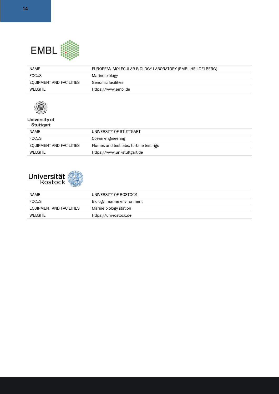

| <b>NAME</b>              | EUROPEAN MOLECULAR BIOLOGY LABORATORY (EMBL HEILDELBERG) |
|--------------------------|----------------------------------------------------------|
| <b>FOCUS</b>             | Marine biology                                           |
| EQUIPMENT AND FACILITIES | Genomic facilities                                       |
| <b>WEBSITE</b>           | Https://www.embl.de                                      |



### University of Stuttgart

| NAME                     | UNIVERSITY OF STUTTGART                 |
|--------------------------|-----------------------------------------|
| <b>FOCUS</b>             | Ocean engineering                       |
| EQUIPMENT AND FACILITIES | Flumes and test labs, turbine test rigs |
| <b>WEBSITE</b>           | Https://www.uni-stuttgart.de            |



| NAME                     | UNIVERSITY OF ROSTOCK       |
|--------------------------|-----------------------------|
| <b>FOCUS</b>             | Biology, marine environment |
| EQUIPMENT AND FACILITIES | Marine biology station      |
| <b>WEBSITE</b>           | Https://uni-rostock.de      |